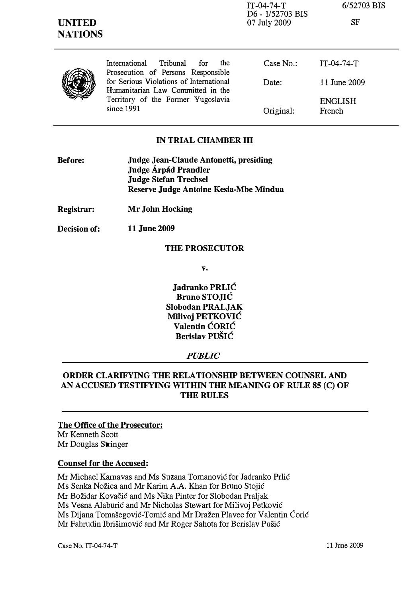| <b>UNITED</b><br><b>NATIONS</b> |                                                                                                                                  | $IT-04-74-T$<br>D6 - 1/52703 BIS<br>07 July 2009 | 6/52703 BIS<br><b>SF</b> |
|---------------------------------|----------------------------------------------------------------------------------------------------------------------------------|--------------------------------------------------|--------------------------|
|                                 | Tribunal<br>for<br>International<br>the<br>Prosecution of Persons Responsible                                                    | Case $No.$ :                                     | $IT-04-74-T$             |
|                                 | for Serious Violations of International<br>Humanitarian Law Committed in the<br>Territory of the Former Yugoslavia<br>since 1991 | Date:                                            | 11 June 2009             |
|                                 |                                                                                                                                  | Original:                                        | <b>ENGLISH</b><br>French |

### IN TRIAL CHAMBER III

- Before: Judge Jean-Claude Antonetti, presiding Judge Árpád Prandler Judge Stefan Trechsel Reserve Judge Antoine Kesia-Mbe Mindua
- Registrar: Mr John Hocking
- Decision of: 11 June 2009

#### THE PROSECUTOR

v.

Jadranko PRLIC Bruno STOJIC Slobodan PRALJAK MiIivoj PETKOVIC Valentin CORIC Berislav PUŠIĆ

#### PUBLIC

### ORDER CLARIFYING THE RELATIONSHIP BETWEEN COUNSEL AND AN ACCUSED TESTIFYING WITHIN THE MEANING OF RULE 85 (C) OF THE RULES

# The Office of the Prosecutor:

Mr Kenneth Scott Mr Douglas Stringer

#### Counsel for the Accused:

Mr Michael Karnavas and Ms Suzana Tomanović for Jadranko Prlić Ms Senka Nožica and Mr Karim A.A. Khan for Bruno Stojić Mr Bozidar Kovacic and Ms Nika Pinter for Slobodan Praljak Ms Vesna Alaburić and Mr Nicholas Stewart for Milivoj Petković Ms Dijana Tomašegović-Tomić and Mr Dražen Plavec for Valentin Ćorić Mr Fahrudin Ibrišimović and Mr Roger Sahota for Berislav Pušić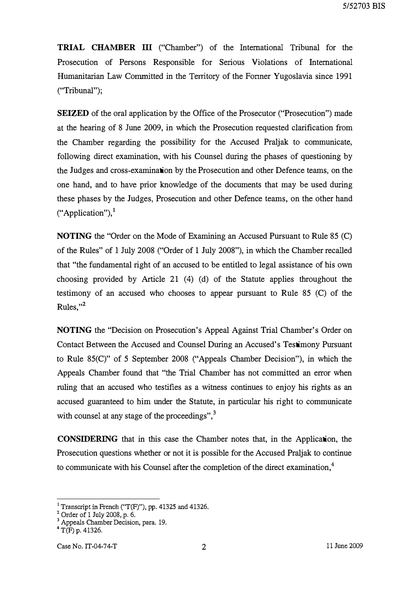TRIAL CHAMBER III ("Chamber") of the International Tribunal for the Prosecution of Persons Responsible for Serious Violations of International Humanitarian Law Committed in the Territory of the Fonner Yugoslavia since 1991 ("Tribunal");

SEIZED of the oral application by the Office of the Prosecutor ("Prosecution") made at the hearing of 8 June 2009, in which the Prosecution requested clarification from the Chamber regarding the possibility for the Accused Praljak to communicate, following direct examination, with his Counsel during the phases of questioning by the Judges and cross-examination by the Prosecution and other Defence teams, on the one hand, and to have prior knowledge of the documents that may be used during these phases by the Judges, Prosecution and other Defence teams, on the other hand ("Application"), $<sup>1</sup>$ </sup>

NOTING the "Order on the Mode of Examining an Accused Pursuant to Rule 85 (C) of the Rules" of I July 2008 ("Order of 1 July 2008"), in which the Chamber recalled that "the fundamental right of an accused to be entitled to legal assistance of his own choosing provided by Article 21 (4) (d) of the Statute applies throughout the testimony of an accused who chooses to appear pursuant to Rule 85 (C) of the Rules." $^2$ 

NOTING the "Decision on Prosecution's Appeal Against Trial Chamber's Order on Contact Between the Accused and Counsel During an Accused's Testimony Pursuant to Rule 85(C)" of 5 September 2008 ("Appeals Chamber Decision"), in which the Appeals Chamber found that "the Trial Chamber has not committed an error when ruling that an accused who testifies as a witness continues to enjoy his rights as an accused guaranteed to him under the Statute, in particular his right to communicate with counsel at any stage of the proceedings", $3$ 

CONSIDERING that in this case the Chamber notes that, in the Application, the Prosecution questions whether or not it is possible for the Accused Praljak to continue to communicate with his Counsel after the completion of the direct examination, $4$ 

<sup>&</sup>lt;sup>1</sup> Transcript in French ("T(F)"), pp. 41325 and 41326.

 $^{2}_{\circ}$  Order of 1 July 2008, p. 6.

<sup>&</sup>lt;sup>3</sup> Appeals Chamber Decision, para. 19.

 $4$  T(F) p. 41326.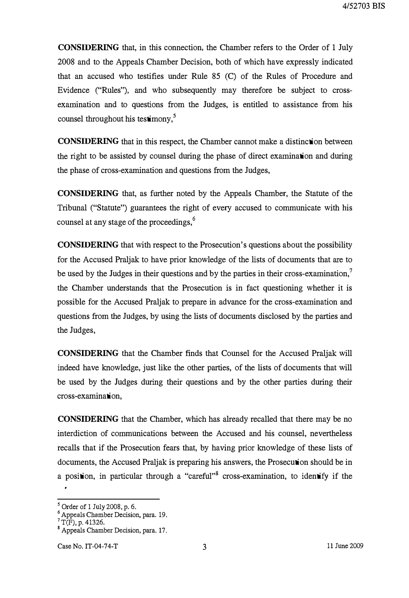CONSIDERING that, in this connection, the Chamber refers to the Order of 1 July 2008 and to the Appeals Chamber Decision, both of which have expressly indicated that an accused who testifies under Rule 85 (C) of the Rules of Procedure and Evidence ("Rules"), and who subsequently may therefore be subject to crossexamination and to questions from the Judges, is entitled to assistance from his counsel throughout his test imony,<sup>5</sup>

CONSIDERING that in this respect, the Chamber cannot make a distinction between the right to be assisted by counsel during the phase of direct examination and during the phase of cross-examination and questions from the Judges,

CONSIDERING that, as further noted by the Appeals Chamber, the Statute of the Tribunal ("Statute") guarantees the right of every accused to communicate with his counsel at any stage of the proceedings,<sup>6</sup>

CONSIDERING that with respect to the Prosecution's questions about the possibility for the Accused Praljak to have prior knowledge of the lists of documents that are to be used by the Judges in their questions and by the parties in their cross-examination, $\overline{a}$ the Chamber understands that the Prosecution is in fact questioning whether it is possible for the Accused Praljak to prepare in advance for the cross-examination and questions from the Judges, by using the lists of documents disclosed by the parties and the Judges,

CONSIDERING that the Chamber finds that Counsel for the Accused Praljak will indeed have knowledge, just like the other parties, of the lists of documents that will be used by the Judges during their questions and by the other parties during their cross-examination,

CONSIDERING that the Chamber, which has already recalled that there may be no interdiction of communications between the Accused and his counsel, nevertheless recalls that if the Prosecution fears that, by having prior knowledge of these lists of documents, the Accused Praljak is preparing his answers, the Prosecution should be in a position, in particular through a "careful"<sup>8</sup> cross-examination, to identify if the

<sup>5</sup>Order of 1 July 2008, p. 6.

<sup>6</sup>Appeals Chamber Decision, para. 19.

 $T(F)$ , p. 41326.

<sup>&</sup>lt;sup>8</sup> Appeals Chamber Decision, para. 17.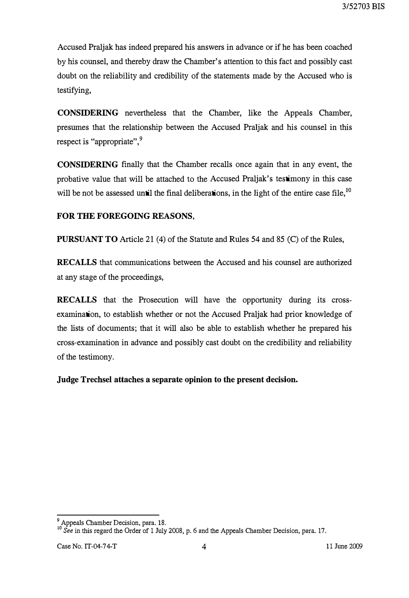Accused Praljak has indeed prepared his answers in advance or if he has been coached by his counsel, and thereby draw the Chamber's attention to this fact and possibly cast doubt on the reliability and credibility of the statements made by the Accused who is testifying,

CONSIDERING nevertheless that the Chamber, like the Appeals Chamber, presumes that the relationship between the Accused Praljak and his counsel in this respect is "appropriate",<sup>9</sup>

CONSIDERING finally that the Chamber recalls once again that in any event, the probative value that will be attached to the Accused Praljak's testimony in this case will be not be assessed until the final deliberations, in the light of the entire case file.<sup>10</sup>

# FOR THE FOREGOING REASONS,

PURSUANT TO Article 21 (4) of the Statute and Rules 54 and 85 (C) of the Rules,

RECALLS that communications between the Accused and his counsel are authorized at any stage of the proceedings,

RECALLS that the Prosecution will have the opportunity during its crossexamination, to establish whether or not the Accused Praljak had prior knowledge of the lists of documents; that it will also be able to establish whether he prepared his cross-examination in advance and possibly cast doubt on the credibility and reliability of the testimony.

Judge TrechseI attaches a separate opinion to the present decision.

Appeals Chamber Decision, para. 18.<br><sup>10</sup> See in this regard the Order of 1 July 2008, p. 6 and the Appeals Chamber Decision, para. 17.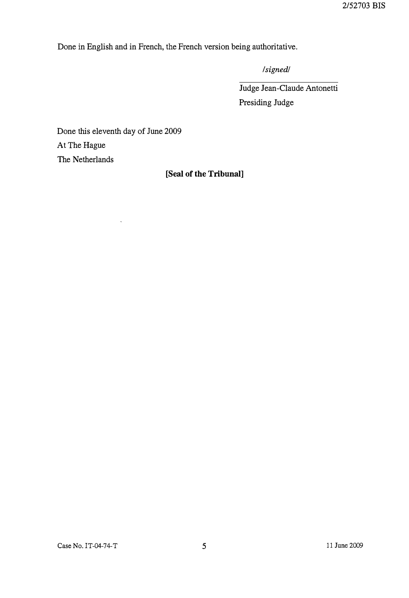Done in English and in French, the French version being authoritative.

Isignedl

Judge Jean-Claude Antonetti Presiding Judge

Done this eleventh day of June 2009 At The Hague

 $\ddot{\phantom{0}}$ 

The Netherlands

# [Seal of the Tribunal]